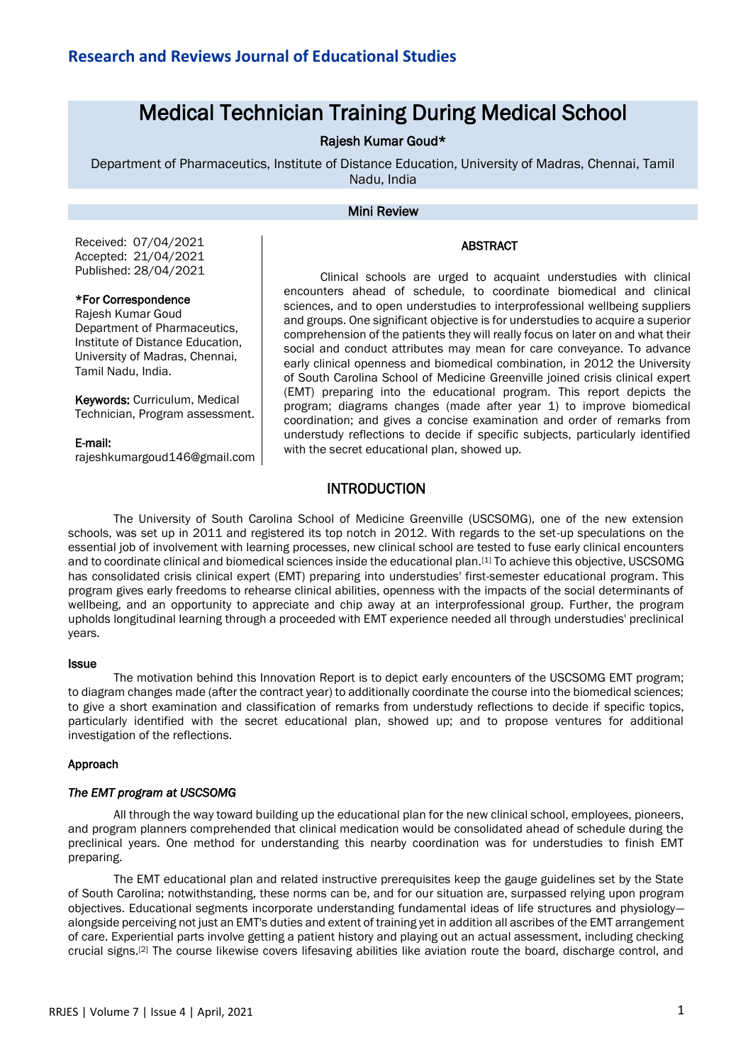# Medical Technician Training During Medical School

# Rajesh Kumar Goud\*

Department of Pharmaceutics, Institute of Distance Education, University of Madras, Chennai, Tamil Nadu, India

### Mini Review

#### ABSTRACT

Received: 07/04/2021 Accepted: 21/04/2021 Published: 28/04/2021

#### \*For Correspondence

Rajesh Kumar Goud Department of Pharmaceutics, Institute of Distance Education, University of Madras, Chennai, Tamil Nadu, India.

Keywords: Curriculum, Medical Technician, Program assessment.

#### E-mail:

rajeshkumargoud146@gmail.com

Clinical schools are urged to acquaint understudies with clinical encounters ahead of schedule, to coordinate biomedical and clinical sciences, and to open understudies to interprofessional wellbeing suppliers and groups. One significant objective is for understudies to acquire a superior comprehension of the patients they will really focus on later on and what their social and conduct attributes may mean for care conveyance. To advance early clinical openness and biomedical combination, in 2012 the University of South Carolina School of Medicine Greenville joined crisis clinical expert (EMT) preparing into the educational program. This report depicts the program; diagrams changes (made after year 1) to improve biomedical coordination; and gives a concise examination and order of remarks from understudy reflections to decide if specific subjects, particularly identified with the secret educational plan, showed up.

## INTRODUCTION

The University of South Carolina School of Medicine Greenville (USCSOMG), one of the new extension schools, was set up in 2011 and registered its top notch in 2012. With regards to the set-up speculations on the essential job of involvement with learning processes, new clinical school are tested to fuse early clinical encounters and to coordinate clinical and biomedical sciences inside the educational plan.[1] To achieve this objective, USCSOMG has consolidated crisis clinical expert (EMT) preparing into understudies' first-semester educational program. This program gives early freedoms to rehearse clinical abilities, openness with the impacts of the social determinants of wellbeing, and an opportunity to appreciate and chip away at an interprofessional group. Further, the program upholds longitudinal learning through a proceeded with EMT experience needed all through understudies' preclinical years.

#### **Issue**

The motivation behind this Innovation Report is to depict early encounters of the USCSOMG EMT program; to diagram changes made (after the contract year) to additionally coordinate the course into the biomedical sciences; to give a short examination and classification of remarks from understudy reflections to decide if specific topics, particularly identified with the secret educational plan, showed up; and to propose ventures for additional investigation of the reflections.

#### Approach

#### *The EMT program at USCSOMG*

All through the way toward building up the educational plan for the new clinical school, employees, pioneers, and program planners comprehended that clinical medication would be consolidated ahead of schedule during the preclinical years. One method for understanding this nearby coordination was for understudies to finish EMT preparing.

The EMT educational plan and related instructive prerequisites keep the gauge guidelines set by the State of South Carolina; notwithstanding, these norms can be, and for our situation are, surpassed relying upon program objectives. Educational segments incorporate understanding fundamental ideas of life structures and physiology alongside perceiving not just an EMT's duties and extent of training yet in addition all ascribes of the EMT arrangement of care. Experiential parts involve getting a patient history and playing out an actual assessment, including checking crucial signs.[2] The course likewise covers lifesaving abilities like aviation route the board, discharge control, and